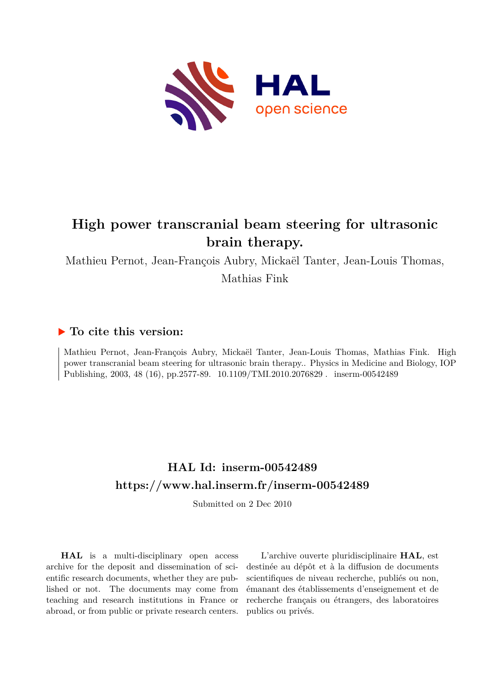

# **High power transcranial beam steering for ultrasonic brain therapy.**

Mathieu Pernot, Jean-François Aubry, Mickaël Tanter, Jean-Louis Thomas,

Mathias Fink

# **To cite this version:**

Mathieu Pernot, Jean-François Aubry, Mickaël Tanter, Jean-Louis Thomas, Mathias Fink. High power transcranial beam steering for ultrasonic brain therapy.. Physics in Medicine and Biology, IOP Publishing, 2003, 48 (16), pp.2577-89. 10.1109/TMI.2010.2076829 . inserm-00542489

# **HAL Id: inserm-00542489 <https://www.hal.inserm.fr/inserm-00542489>**

Submitted on 2 Dec 2010

**HAL** is a multi-disciplinary open access archive for the deposit and dissemination of scientific research documents, whether they are published or not. The documents may come from teaching and research institutions in France or abroad, or from public or private research centers.

L'archive ouverte pluridisciplinaire **HAL**, est destinée au dépôt et à la diffusion de documents scientifiques de niveau recherche, publiés ou non, émanant des établissements d'enseignement et de recherche français ou étrangers, des laboratoires publics ou privés.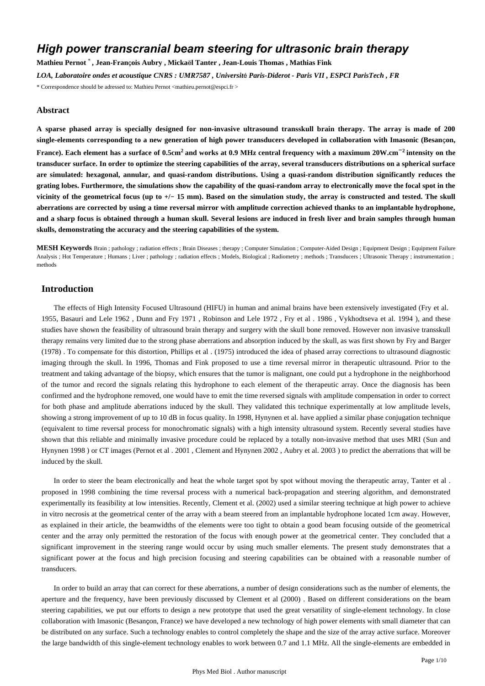# *High power transcranial beam steering for ultrasonic brain therapy*

**Mathieu Pernot** \* **, Jean-Fran**ç**ois Aubry , Micka**ë**l Tanter , Jean-Louis Thomas , Mathias Fink**

*LOA, Laboratoire ondes et acoustique CNRS : UMR7587 , Universit*é *Paris-Diderot - Paris VII , ESPCI ParisTech , FR*

\* Correspondence should be adressed to: Mathieu Pernot <mathieu.pernot@espci.fr >

#### **Abstract**

**A sparse phased array is specially designed for non-invasive ultrasound transskull brain therapy. The array is made of 200 single-elements corresponding to a new generation of high power transducers developed in collaboration with Imasonic (Besan**ç**on, France).** Each element has a surface of 0.5cm<sup>2</sup> and works at 0.9 MHz central frequency with a maximum 20W.cm<sup>−2</sup> intensity on the **transducer surface. In order to optimize the steering capabilities of the array, several transducers distributions on a spherical surface are simulated: hexagonal, annular, and quasi-random distributions. Using a quasi-random distribution significantly reduces the grating lobes. Furthermore, the simulations show the capability of the quasi-random array to electronically move the focal spot in the vicinity of the geometrical focus (up to** +**/**− **15 mm). Based on the simulation study, the array is constructed and tested. The skull aberrations are corrected by using a time reversal mirror with amplitude correction achieved thanks to an implantable hydrophone, and a sharp focus is obtained through a human skull. Several lesions are induced in fresh liver and brain samples through human skulls, demonstrating the accuracy and the steering capabilities of the system.**

**MESH Keywords** Brain ; pathology ; radiation effects ; Brain Diseases ; therapy ; Computer Simulation ; Computer-Aided Design ; Equipment Design ; Equipment Failure Analysis ; Hot Temperature ; Humans ; Liver ; pathology ; radiation effects ; Models, Biological ; Radiometry ; methods ; Transducers ; Ultrasonic Therapy ; instrumentation ; methods

# **Introduction**

The effects of High Intensity Focused Ultrasound (HIFU) in human and animal brains have been extensively investigated (Fry et al. 1955, Basauri and Lele 1962 , Dunn and Fry 1971 , Robinson and Lele 1972 , Fry et al . 1986 , Vykhodtseva et al. 1994 ), and these studies have shown the feasibility of ultrasound brain therapy and surgery with the skull bone removed. However non invasive transskull therapy remains very limited due to the strong phase aberrations and absorption induced by the skull, as was first shown by Fry and Barger (1978) . To compensate for this distortion, Phillips et al . (1975) introduced the idea of phased array corrections to ultrasound diagnostic imaging through the skull. In 1996, Thomas and Fink proposed to use a time reversal mirror in therapeutic ultrasound. Prior to the treatment and taking advantage of the biopsy, which ensures that the tumor is malignant, one could put a hydrophone in the neighborhood of the tumor and record the signals relating this hydrophone to each element of the therapeutic array. Once the diagnosis has been confirmed and the hydrophone removed, one would have to emit the time reversed signals with amplitude compensation in order to correct for both phase and amplitude aberrations induced by the skull. They validated this technique experimentally at low amplitude levels, showing a strong improvement of up to 10 dB in focus quality. In 1998, Hynynen et al. have applied a similar phase conjugation technique (equivalent to time reversal process for monochromatic signals) with a high intensity ultrasound system. Recently several studies have shown that this reliable and minimally invasive procedure could be replaced by a totally non-invasive method that uses MRI (Sun and Hynynen 1998 ) or CT images (Pernot et al . 2001 , Clement and Hynynen 2002 , Aubry et al. 2003 ) to predict the aberrations that will be induced by the skull.

In order to steer the beam electronically and heat the whole target spot by spot without moving the therapeutic array, Tanter et al . proposed in 1998 combining the time reversal process with a numerical back-propagation and steering algorithm, and demonstrated experimentally its feasibility at low intensities. Recently, Clement et al. (2002) used a similar steering technique at high power to achieve in vitro necrosis at the geometrical center of the array with a beam steered from an implantable hydrophone located 1cm away. However, as explained in their article, the beamwidths of the elements were too tight to obtain a good beam focusing outside of the geometrical center and the array only permitted the restoration of the focus with enough power at the geometrical center. They concluded that a significant improvement in the steering range would occur by using much smaller elements. The present study demonstrates that a significant power at the focus and high precision focusing and steering capabilities can be obtained with a reasonable number of transducers.

In order to build an array that can correct for these aberrations, a number of design considerations such as the number of elements, the aperture and the frequency, have been previously discussed by Clement et al (2000) . Based on different considerations on the beam steering capabilities, we put our efforts to design a new prototype that used the great versatility of single-element technology. In close collaboration with Imasonic (Besançon, France) we have developed a new technology of high power elements with small diameter that can be distributed on any surface. Such a technology enables to control completely the shape and the size of the array active surface. Moreover the large bandwidth of this single-element technology enables to work between 0.7 and 1.1 MHz. All the single-elements are embedded in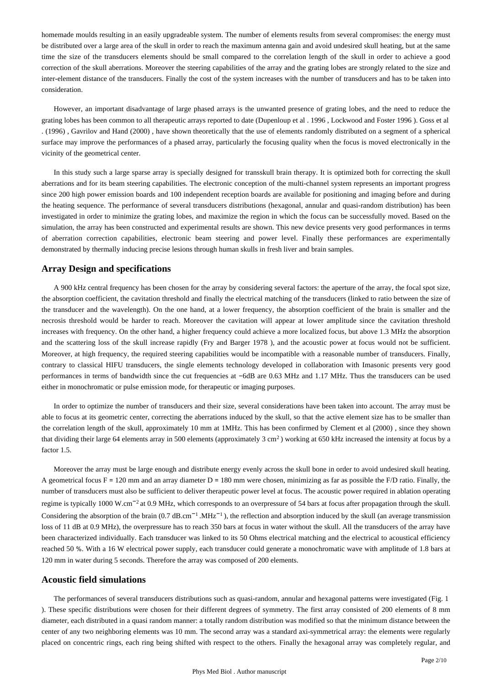homemade moulds resulting in an easily upgradeable system. The number of elements results from several compromises: the energy must be distributed over a large area of the skull in order to reach the maximum antenna gain and avoid undesired skull heating, but at the same time the size of the transducers elements should be small compared to the correlation length of the skull in order to achieve a good correction of the skull aberrations. Moreover the steering capabilities of the array and the grating lobes are strongly related to the size and inter-element distance of the transducers. Finally the cost of the system increases with the number of transducers and has to be taken into consideration.

However, an important disadvantage of large phased arrays is the unwanted presence of grating lobes, and the need to reduce the grating lobes has been common to all therapeutic arrays reported to date (Dupenloup et al . 1996 , Lockwood and Foster 1996 ). Goss et al . (1996) , Gavrilov and Hand (2000) , have shown theoretically that the use of elements randomly distributed on a segment of a spherical surface may improve the performances of a phased array, particularly the focusing quality when the focus is moved electronically in the vicinity of the geometrical center.

In this study such a large sparse array is specially designed for transskull brain therapy. It is optimized both for correcting the skull aberrations and for its beam steering capabilities. The electronic conception of the multi-channel system represents an important progress since 200 high power emission boards and 100 independent reception boards are available for positioning and imaging before and during the heating sequence. The performance of several transducers distributions (hexagonal, annular and quasi-random distribution) has been investigated in order to minimize the grating lobes, and maximize the region in which the focus can be successfully moved. Based on the simulation, the array has been constructed and experimental results are shown. This new device presents very good performances in terms of aberration correction capabilities, electronic beam steering and power level. Finally these performances are experimentally demonstrated by thermally inducing precise lesions through human skulls in fresh liver and brain samples.

#### **Array Design and specifications**

A 900 kHz central frequency has been chosen for the array by considering several factors: the aperture of the array, the focal spot size, the absorption coefficient, the cavitation threshold and finally the electrical matching of the transducers (linked to ratio between the size of the transducer and the wavelength). On the one hand, at a lower frequency, the absorption coefficient of the brain is smaller and the necrosis threshold would be harder to reach. Moreover the cavitation will appear at lower amplitude since the cavitation threshold increases with frequency. On the other hand, a higher frequency could achieve a more localized focus, but above 1.3 MHz the absorption and the scattering loss of the skull increase rapidly (Fry and Barger 1978 ), and the acoustic power at focus would not be sufficient. Moreover, at high frequency, the required steering capabilities would be incompatible with a reasonable number of transducers. Finally, contrary to classical HIFU transducers, the single elements technology developed in collaboration with Imasonic presents very good performances in terms of bandwidth since the cut frequencies at −6dB are 0.63 MHz and 1.17 MHz. Thus the transducers can be used either in monochromatic or pulse emission mode, for therapeutic or imaging purposes.

In order to optimize the number of transducers and their size, several considerations have been taken into account. The array must be able to focus at its geometric center, correcting the aberrations induced by the skull, so that the active element size has to be smaller than the correlation length of the skull, approximately 10 mm at 1MHz. This has been confirmed by Clement et al (2000) , since they shown that dividing their large 64 elements array in 500 elements (approximately  $3 \text{ cm}^2$ ) working at 650 kHz increased the intensity at focus by a factor 1.5.

Moreover the array must be large enough and distribute energy evenly across the skull bone in order to avoid undesired skull heating. A geometrical focus  $F = 120$  mm and an array diameter  $D = 180$  mm were chosen, minimizing as far as possible the  $F/D$  ratio. Finally, the number of transducers must also be sufficient to deliver therapeutic power level at focus. The acoustic power required in ablation operating regime is typically 1000 W.cm<sup>-2</sup> at 0.9 MHz, which corresponds to an overpressure of 54 bars at focus after propagation through the skull. Considering the absorption of the brain  $(0.7 \text{ dB.cm}^{-1} \text{.MHz}^{-1})$ , the reflection and absorption induced by the skull (an average transmission loss of 11 dB at 0.9 MHz), the overpressure has to reach 350 bars at focus in water without the skull. All the transducers of the array have been characterized individually. Each transducer was linked to its 50 Ohms electrical matching and the electrical to acoustical efficiency reached 50 %. With a 16 W electrical power supply, each transducer could generate a monochromatic wave with amplitude of 1.8 bars at 120 mm in water during 5 seconds. Therefore the array was composed of 200 elements.

#### **Acoustic field simulations**

The performances of several transducers distributions such as quasi-random, annular and hexagonal patterns were investigated (Fig. 1 ). These specific distributions were chosen for their different degrees of symmetry. The first array consisted of 200 elements of 8 mm diameter, each distributed in a quasi random manner: a totally random distribution was modified so that the minimum distance between the center of any two neighboring elements was 10 mm. The second array was a standard axi-symmetrical array: the elements were regularly placed on concentric rings, each ring being shifted with respect to the others. Finally the hexagonal array was completely regular, and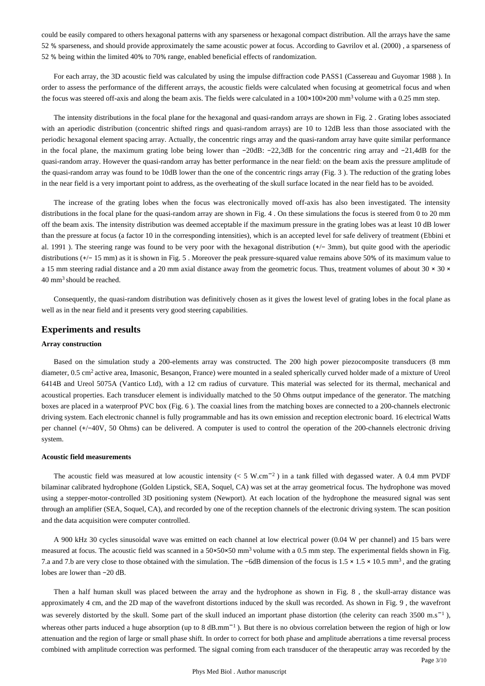could be easily compared to others hexagonal patterns with any sparseness or hexagonal compact distribution. All the arrays have the same 52 % sparseness, and should provide approximately the same acoustic power at focus. According to Gavrilov et al. (2000) , a sparseness of 52 % being within the limited 40% to 70% range, enabled beneficial effects of randomization.

For each array, the 3D acoustic field was calculated by using the impulse diffraction code PASS1 (Cassereau and Guyomar 1988 ). In order to assess the performance of the different arrays, the acoustic fields were calculated when focusing at geometrical focus and when the focus was steered off-axis and along the beam axis. The fields were calculated in a  $100 \times 100 \times 200$  mm<sup>3</sup> volume with a 0.25 mm step.

The intensity distributions in the focal plane for the hexagonal and quasi-random arrays are shown in Fig. 2 . Grating lobes associated with an aperiodic distribution (concentric shifted rings and quasi-random arrays) are 10 to 12dB less than those associated with the periodic hexagonal element spacing array. Actually, the concentric rings array and the quasi-random array have quite similar performance in the focal plane, the maximum grating lobe being lower than −20dB: −22,3dB for the concentric ring array and −21,4dB for the quasi-random array. However the quasi-random array has better performance in the near field: on the beam axis the pressure amplitude of the quasi-random array was found to be 10dB lower than the one of the concentric rings array (Fig. 3 ). The reduction of the grating lobes in the near field is a very important point to address, as the overheating of the skull surface located in the near field has to be avoided.

The increase of the grating lobes when the focus was electronically moved off-axis has also been investigated. The intensity distributions in the focal plane for the quasi-random array are shown in Fig. 4. On these simulations the focus is steered from 0 to 20 mm off the beam axis. The intensity distribution was deemed acceptable if the maximum pressure in the grating lobes was at least 10 dB lower than the pressure at focus (a factor 10 in the corresponding intensities), which is an accepted level for safe delivery of treatment (Ebbini et al. 1991 ). The steering range was found to be very poor with the hexagonal distribution (+/− 3mm), but quite good with the aperiodic distributions (+/− 15 mm) as it is shown in Fig. 5 . Moreover the peak pressure-squared value remains above 50% of its maximum value to a 15 mm steering radial distance and a 20 mm axial distance away from the geometric focus. Thus, treatment volumes of about  $30 \times 30 \times 10^{-1}$  $40$  mm<sup>3</sup> should be reached.

Consequently, the quasi-random distribution was definitively chosen as it gives the lowest level of grating lobes in the focal plane as well as in the near field and it presents very good steering capabilities.

#### **Experiments and results**

#### **Array construction**

Based on the simulation study a 200-elements array was constructed. The 200 high power piezocomposite transducers (8 mm diameter, 0.5 cm<sup>2</sup> active area, Imasonic, Besançon, France) were mounted in a sealed spherically curved holder made of a mixture of Ureol 6414B and Ureol 5075A (Vantico Ltd), with a 12 cm radius of curvature. This material was selected for its thermal, mechanical and acoustical properties. Each transducer element is individually matched to the 50 Ohms output impedance of the generator. The matching boxes are placed in a waterproof PVC box (Fig. 6 ). The coaxial lines from the matching boxes are connected to a 200-channels electronic driving system. Each electronic channel is fully programmable and has its own emission and reception electronic board. 16 electrical Watts per channel (+/−40V, 50 Ohms) can be delivered. A computer is used to control the operation of the 200-channels electronic driving system.

#### **Acoustic field measurements**

The acoustic field was measured at low acoustic intensity ( $\lt 5$  W.cm<sup>-2</sup>) in a tank filled with degassed water. A 0.4 mm PVDF bilaminar calibrated hydrophone (Golden Lipstick, SEA, Soquel, CA) was set at the array geometrical focus. The hydrophone was moved using a stepper-motor-controlled 3D positioning system (Newport). At each location of the hydrophone the measured signal was sent through an amplifier (SEA, Soquel, CA), and recorded by one of the reception channels of the electronic driving system. The scan position and the data acquisition were computer controlled.

A 900 kHz 30 cycles sinusoidal wave was emitted on each channel at low electrical power (0.04 W per channel) and 15 bars were measured at focus. The acoustic field was scanned in a  $50\times50\times50$  mm<sup>3</sup> volume with a 0.5 mm step. The experimental fields shown in Fig. 7.a and 7.b are very close to those obtained with the simulation. The −6dB dimension of the focus is 1.5 × 1.5 × 10.5 mm<sup>3</sup>, and the grating lobes are lower than −20 dB.

Then a half human skull was placed between the array and the hydrophone as shown in Fig. 8 , the skull-array distance was approximately 4 cm, and the 2D map of the wavefront distortions induced by the skull was recorded. As shown in Fig. 9 , the wavefront was severely distorted by the skull. Some part of the skull induced an important phase distortion (the celerity can reach 3500 m.s<sup>-1</sup>), whereas other parts induced a huge absorption (up to 8 dB.mm<sup>-1</sup>). But there is no obvious correlation between the region of high or low attenuation and the region of large or small phase shift. In order to correct for both phase and amplitude aberrations a time reversal process combined with amplitude correction was performed. The signal coming from each transducer of the therapeutic array was recorded by the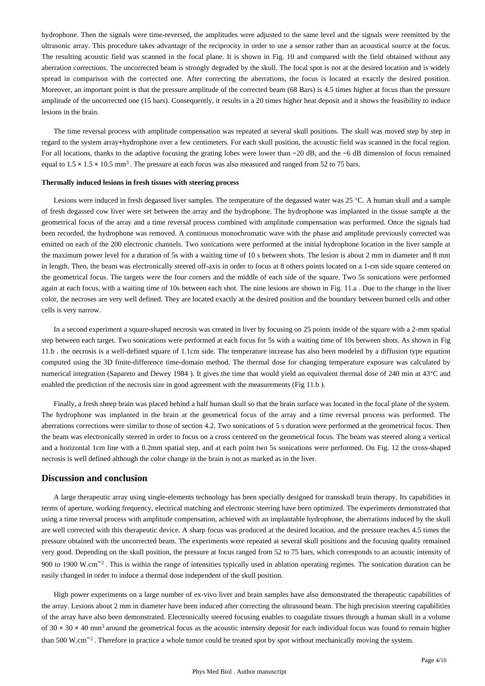hydrophone. Then the signals were time-reversed, the amplitudes were adjusted to the same level and the signals were reemitted by the ultrasonic array. This procedure takes advantage of the reciprocity in order to use a sensor rather than an acoustical source at the focus. The resulting acoustic field was scanned in the focal plane. It is shown in Fig. 10 and compared with the field obtained without any aberration corrections. The uncorrected beam is strongly degraded by the skull. The focal spot is not at the desired location and is widely spread in comparison with the corrected one. After correcting the aberrations, the focus is located at exactly the desired position. Moreover, an important point is that the pressure amplitude of the corrected beam (68 Bars) is 4.5 times higher at focus than the pressure amplitude of the uncorrected one (15 bars). Consequently, it results in a 20 times higher heat deposit and it shows the feasibility to induce lesions in the brain.

The time reversal process with amplitude compensation was repeated at several skull positions. The skull was moved step by step in regard to the system array+hydrophone over a few centimeters. For each skull position, the acoustic field was scanned in the focal region. For all locations, thanks to the adaptive focusing the grating lobes were lower than −20 dB, and the −6 dB dimension of focus remained equal to  $1.5 \times 1.5 \times 10.5$  mm<sup>3</sup>. The pressure at each focus was also measured and ranged from 52 to 75 bars.

#### **Thermally induced lesions in fresh tissues with steering process**

Lesions were induced in fresh degassed liver samples. The temperature of the degassed water was 25 °C. A human skull and a sample of fresh degassed cow liver were set between the array and the hydrophone. The hydrophone was implanted in the tissue sample at the geometrical focus of the array and a time reversal process combined with amplitude compensation was performed. Once the signals had been recorded, the hydrophone was removed. A continuous monochromatic wave with the phase and amplitude previously corrected was emitted on each of the 200 electronic channels. Two sonications were performed at the initial hydrophone location in the liver sample at the maximum power level for a duration of 5s with a waiting time of 10 s between shots. The lesion is about 2 mm in diameter and 8 mm in length. Then, the beam was electronically steered off-axis in order to focus at 8 others points located on a 1-cm side square centered on the geometrical focus. The targets were the four corners and the middle of each side of the square. Two 5s sonications were performed again at each focus, with a waiting time of 10s between each shot. The nine lesions are shown in Fig. 11.a . Due to the change in the liver color, the necroses are very well defined. They are located exactly at the desired position and the boundary between burned cells and other cells is very narrow.

In a second experiment a square-shaped necrosis was created in liver by focusing on 25 points inside of the square with a 2-mm spatial step between each target. Two sonications were performed at each focus for 5s with a waiting time of 10s between shots. As shown in Fig 11.b . the necrosis is a well-defined square of 1.1cm side. The temperature increase has also been modeled by a diffusion type equation computed using the 3D finite-difference time-domain method. The thermal dose for changing temperature exposure was calculated by numerical integration (Sapareto and Dewey 1984 ). It gives the time that would yield an equivalent thermal dose of 240 min at 43°C and enabled the prediction of the necrosis size in good agreement with the measurements (Fig 11.b ).

Finally, a fresh sheep brain was placed behind a half human skull so that the brain surface was located in the focal plane of the system. The hydrophone was implanted in the brain at the geometrical focus of the array and a time reversal process was performed. The aberrations corrections were similar to those of section 4.2. Two sonications of 5 s duration were performed at the geometrical focus. Then the beam was electronically steered in order to focus on a cross centered on the geometrical focus. The beam was steered along a vertical and a horizontal 1cm line with a 0.2mm spatial step, and at each point two 5s sonications were performed. On Fig. 12 the cross-shaped necrosis is well defined although the color change in the brain is not as marked as in the liver.

### **Discussion and conclusion**

A large therapeutic array using single-elements technology has been specially designed for transskull brain therapy. Its capabilities in terms of aperture, working frequency, electrical matching and electronic steering have been optimized. The experiments demonstrated that using a time reversal process with amplitude compensation, achieved with an implantable hydrophone, the aberrations induced by the skull are well corrected with this therapeutic device. A sharp focus was produced at the desired location, and the pressure reaches 4.5 times the pressure obtained with the uncorrected beam. The experiments were repeated at several skull positions and the focusing quality remained very good. Depending on the skull position, the pressure at focus ranged from 52 to 75 bars, which corresponds to an acoustic intensity of 900 to 1900 W.cm<sup>-2</sup>. This is within the range of intensities typically used in ablation operating regimes. The sonication duration can be easily changed in order to induce a thermal dose independent of the skull position.

High power experiments on a large number of ex-vivo liver and brain samples have also demonstrated the therapeutic capabilities of the array. Lesions about 2 mm in diameter have been induced after correcting the ultrasound beam. The high precision steering capabilities of the array have also been demonstrated. Electronically steered focusing enables to coagulate tissues through a human skull in a volume of 30  $\times$  30  $\times$  40 mm<sup>3</sup> around the geometrical focus as the acoustic intensity deposit for each individual focus was found to remain higher than 500 W.cm<sup>-2</sup>. Therefore in practice a whole tumor could be treated spot by spot without mechanically moving the system.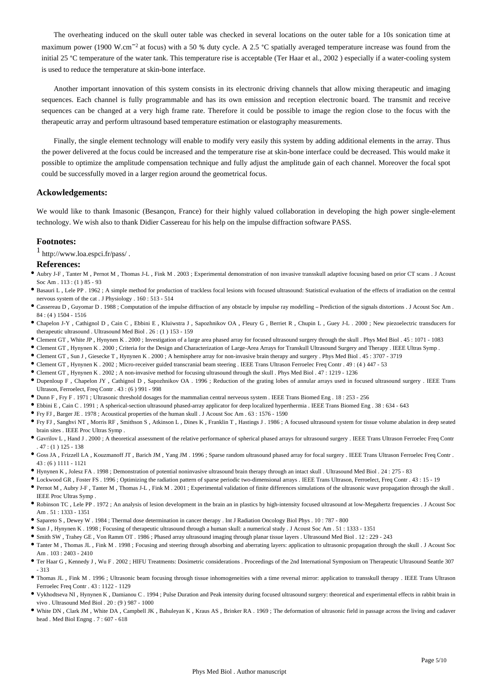The overheating induced on the skull outer table was checked in several locations on the outer table for a 10s sonication time at maximum power (1900 W.cm<sup>-2</sup> at focus) with a 50 % duty cycle. A 2.5 °C spatially averaged temperature increase was found from the initial 25 °C temperature of the water tank. This temperature rise is acceptable (Ter Haar et al., 2002 ) especially if a water-cooling system is used to reduce the temperature at skin-bone interface.

Another important innovation of this system consists in its electronic driving channels that allow mixing therapeutic and imaging sequences. Each channel is fully programmable and has its own emission and reception electronic board. The transmit and receive sequences can be changed at a very high frame rate. Therefore it could be possible to image the region close to the focus with the therapeutic array and perform ultrasound based temperature estimation or elastography measurements.

Finally, the single element technology will enable to modify very easily this system by adding additional elements in the array. Thus the power delivered at the focus could be increased and the temperature rise at skin-bone interface could be decreased. This would make it possible to optimize the amplitude compensation technique and fully adjust the amplitude gain of each channel. Moreover the focal spot could be successfully moved in a larger region around the geometrical focus.

## **Ackowledgements:**

We would like to thank Imasonic (Besançon, France) for their highly valued collaboration in developing the high power single-element technology. We wish also to thank Didier Cassereau for his help on the impulse diffraction software PASS.

#### **Footnotes:**

 $1$  http://www.loa.espci.fr/pass/.

#### **References:**

- Aubry J-F , Tanter M , Pernot M , Thomas J-L , Fink M . 2003 ; Experimental demonstration of non invasive transskull adaptive focusing based on prior CT scans . J Acoust Soc Am . 113 : (1 ) 85 - 93
- Basauri L , Lele PP . 1962 ; A simple method for production of trackless focal lesions with focused ultrasound: Statistical evaluation of the effects of irradiation on the central nervous system of the cat . J Physiology . 160 : 513 - 514
- Cassereau D , Guyomar D . 1988 ; Computation of the impulse diffraction of any obstacle by impulse ray modelling Prediction of the signals distortions . J Acoust Soc Am . 84 : (4 ) 1504 - 1516
- Chapelon J-Y , Cathignol D , Cain C , Ebbini E , Kluiwstra J , Sapozhnikov OA , Fleury G , Berriet R , Chupin L , Guey J-L . 2000 ; New piezoelectric transducers for therapeutic ultrasound . Ultrasound Med Biol . 26 : (1 ) 153 - 159
- Clement GT , White JP , Hynynen K . 2000 ; Investigation of a large area phased array for focused ultrasound surgery through the skull . Phys Med Biol . 45 : 1071 1083
- Clement GT , Hynynen K . 2000 ; Criteria for the Design and Characterization of Large-Area Arrays for Transkull Ultrasound Surgery and Therapy . IEEE Ultras Symp .
- Clement GT , Sun J , Giesecke T , Hynynen K . 2000 ; A hemisphere array for non-invasive brain therapy and surgery . Phys Med Biol . 45 : 3707 3719
- Clement GT , Hynynen K . 2002 ; Micro-receiver guided transcranial beam steering . IEEE Trans Ultrason Ferroelec Freq Contr . 49 : (4 ) 447 53
- Clement GT , Hynynen K . 2002 ; A non-invasive method for focusing ultrasound through the skull . Phys Med Biol . 47 : 1219 1236
- Dupenloup F , Chapelon JY , Cathignol D , Sapozhnikov OA . 1996 ; Reduction of the grating lobes of annular arrays used in focused ultrasound surgery . IEEE Trans Ultrason, Ferroelect, Freq Contr . 43 : (6 ) 991 - 998
- Dunn F , Fry F . 1971 ; Ultrasonic threshold dosages for the mammalian central nerveous system . IEEE Trans Biomed Eng . 18 : 253 256
- Ebbini E , Cain C . 1991 ; A spherical-section ultrasound phased-array applicator for deep localized hyperthermia . IEEE Trans Biomed Eng . 38 : 634 643
- Fry FJ , Barger JE . 1978 ; Acoustical properties of the human skull . J Acoust Soc Am . 63 : 1576 1590
- Fry FJ , Sanghvi NT , Morris RF , Smithson S , Atkinson L , Dines K , Franklin T , Hastings J . 1986 ; A focused ultrasound system for tissue volume abalation in deep seated brain sites . IEEE Proc Ultras Symp .
- Gavrilov L , Hand J . 2000 ; A theoretical assessment of the relative performance of spherical phased arrays for ultrasound surgery . IEEE Trans Ultrason Ferroelec Freq Contr . 47 : (1 ) 125 - 138
- Goss JA , Frizzell LA , Kouzmanoff JT , Barich JM , Yang JM . 1996 ; Sparse random ultrasound phased array for focal surgery . IEEE Trans Ultrason Ferroelec Freq Contr .  $43 \cdot (6) 1111 - 1121$
- Hynynen K , Jolesz FA . 1998 ; Demonstration of potential noninvasive ultrasound brain therapy through an intact skull . Ultrasound Med Biol . 24 : 275 83
- Lockwood GR , Foster FS . 1996 ; Optimizing the radiation pattern of sparse periodic two-dimensional arrays . IEEE Trans Ultrason, Ferroelect, Freq Contr . 43 : 15 19
- Pernot M , Aubry J-F , Tanter M , Thomas J-L , Fink M . 2001 ; Experimental validation of finite differences simulations of the ultrasonic wave propagation through the skull . IEEE Proc Ultras Symp .
- Robinson TC , Lele PP . 1972 ; An analysis of lesion development in the brain an in plastics by high-intensity focused ultrasound at low-Megahertz frequencies . J Acoust Soc Am . 51 : 1333 - 1351
- Sapareto S , Dewey W . 1984 ; Thermal dose determination in cancer therapy . Int J Radiation Oncology Biol Phys . 10 : 787 800
- Sun J , Hynynen K . 1998 ; Focusing of therapeutic ultrasound through a human skull: a numerical study . J Acoust Soc Am . 51 : 1333 1351
- Smith SW , Trahey GE , Von Ramm OT . 1986 ; Phased array ultrasound imaging through planar tissue layers . Ultrasound Med Biol . 12 : 229 243
- Tanter M , Thomas JL , Fink M . 1998 ; Focusing and steering through absorbing and aberrating layers: application to ultrasonic propagation through the skull . J Acoust Soc Am . 103 : 2403 - 2410
- Ter Haar G , Kennedy J , Wu F . 2002 ; HIFU Treatments: Dosimetric considerations . Proceedings of the 2nd International Symposium on Therapeutic Ultrasound Seattle 307 - 313
- Thomas JL , Fink M . 1996 ; Ultrasonic beam focusing through tissue inhomogeneities with a time reversal mirror: application to transskull therapy . IEEE Trans Ultrason Ferroelec Freq Contr  $.43 \cdot 1122 = 1129$
- Vykhodtseva NI , Hynynen K , Damianou C . 1994 ; Pulse Duration and Peak intensity during focused ultrasound surgery: theoretical and experimental effects in rabbit brain in vivo . Ultrasound Med Biol . 20 : (9 ) 987 - 1000
- White DN , Clark JM , White DA , Campbell JK , Bahuleyan K , Kraus AS , Brinker RA . 1969 ; The deformation of ultrasonic field in passage across the living and cadaver head . Med Biol Engng . 7 : 607 - 618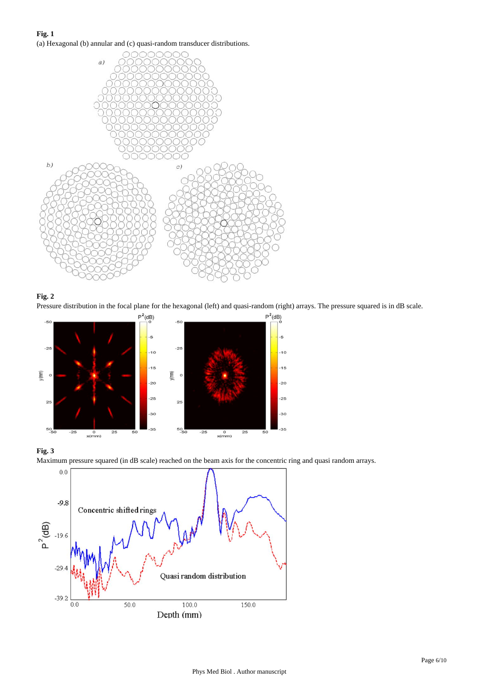**Fig. 1** (a) Hexagonal (b) annular and (c) quasi-random transducer distributions.





Pressure distribution in the focal plane for the hexagonal (left) and quasi-random (right) arrays. The pressure squared is in dB scale.







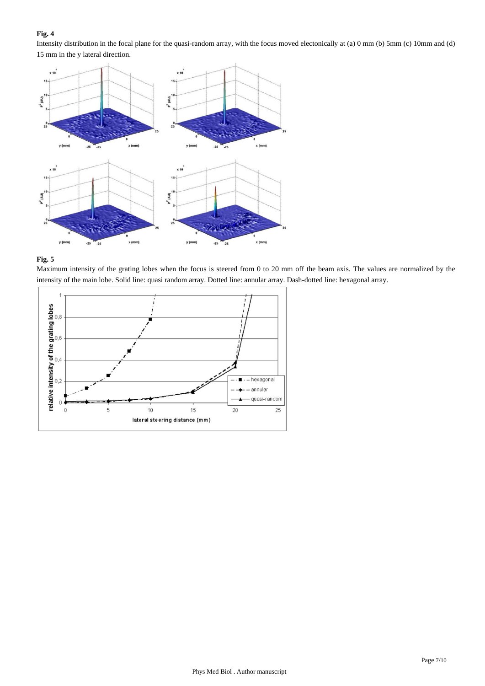Intensity distribution in the focal plane for the quasi-random array, with the focus moved electonically at (a) 0 mm (b) 5mm (c) 10mm and (d) 15 mm in the y lateral direction.





Maximum intensity of the grating lobes when the focus is steered from 0 to 20 mm off the beam axis. The values are normalized by the intensity of the main lobe. Solid line: quasi random array. Dotted line: annular array. Dash-dotted line: hexagonal array.

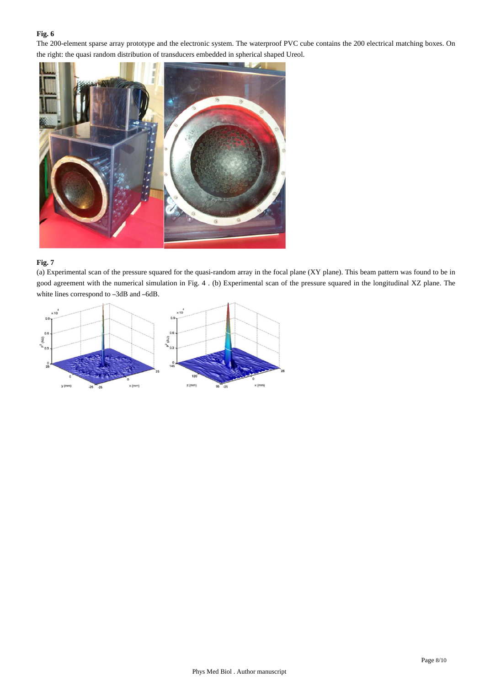The 200-element sparse array prototype and the electronic system. The waterproof PVC cube contains the 200 electrical matching boxes. On the right: the quasi random distribution of transducers embedded in spherical shaped Ureol.



# **Fig. 7**

(a) Experimental scan of the pressure squared for the quasi-random array in the focal plane (XY plane). This beam pattern was found to be in good agreement with the numerical simulation in Fig. 4 . (b) Experimental scan of the pressure squared in the longitudinal XZ plane. The white lines correspond to –3dB and –6dB.

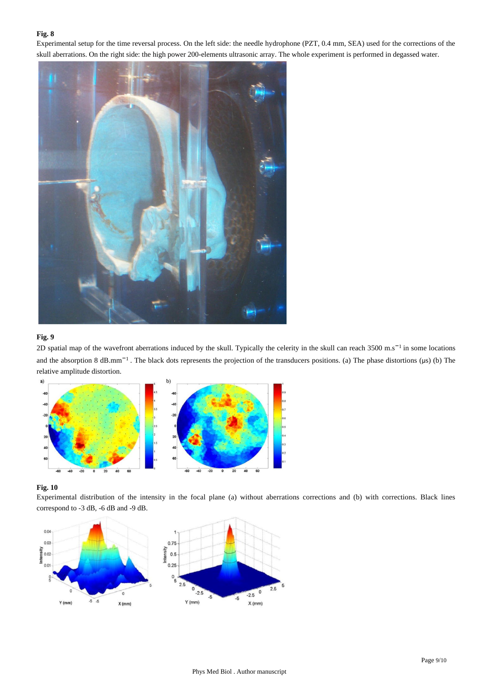Experimental setup for the time reversal process. On the left side: the needle hydrophone (PZT, 0.4 mm, SEA) used for the corrections of the skull aberrations. On the right side: the high power 200-elements ultrasonic array. The whole experiment is performed in degassed water.



# **Fig. 9**

2D spatial map of the wavefront aberrations induced by the skull. Typically the celerity in the skull can reach 3500 m.s<sup>-1</sup> in some locations and the absorption 8 dB.mm<sup>-1</sup>. The black dots represents the projection of the transducers positions. (a) The phase distortions ( $\mu$ s) (b) The relative amplitude distortion.



## **Fig. 10**

Experimental distribution of the intensity in the focal plane (a) without aberrations corrections and (b) with corrections. Black lines correspond to -3 dB, -6 dB and -9 dB.